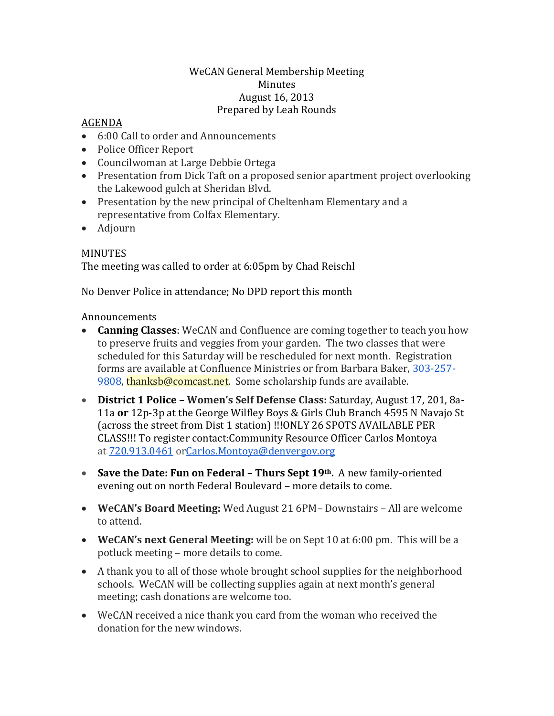## WeCAN General Membership Meeting Minutes August 16, 2013 Prepared by Leah Rounds

## AGENDA

- 6:00 Call to order and Announcements
- Police Officer Report
- Councilwoman at Large Debbie Ortega
- Presentation from Dick Taft on a proposed senior apartment project overlooking the Lakewood gulch at Sheridan Blvd.
- Presentation by the new principal of Cheltenham Elementary and a representative from Colfax Elementary.
- Adjourn

## MINUTES

The meeting was called to order at 6:05pm by Chad Reischl

No Denver Police in attendance; No DPD report this month

## Announcements

- **Canning Classes**: WeCAN and Confluence are coming together to teach you how to preserve fruits and veggies from your garden. The two classes that were scheduled for this Saturday will be rescheduled for next month. Registration forms are available at Confluence Ministries or from Barbara Baker, [303-257-](tel:303-257-9808) [9808,](tel:303-257-9808) [thanksb@comcast.net.](mailto:thanksb@comcast.net) Some scholarship funds are available.
- **District 1 Police – Women's Self Defense Class:** Saturday, August 17, 201, 8a-11a **or** 12p-3p at the George Wilfley Boys & Girls Club Branch 4595 N Navajo St (across the street from Dist 1 station) !!!ONLY 26 SPOTS AVAILABLE PER CLASS!!! To register contact:Community Resource Officer Carlos Montoya at [720.913.0461](tel:720.913.0461) o[rCarlos.Montoya@denvergov.org](mailto:Carlos.Montoya@denvergov.org)
- **Save the Date: Fun on Federal – Thurs Sept 19th.** A new family-oriented evening out on north Federal Boulevard – more details to come.
- **WeCAN's Board Meeting:** Wed August 21 6PM– Downstairs All are welcome to attend.
- **WeCAN's next General Meeting:** will be on Sept 10 at 6:00 pm. This will be a potluck meeting – more details to come.
- A thank you to all of those whole brought school supplies for the neighborhood schools. WeCAN will be collecting supplies again at next month's general meeting; cash donations are welcome too.
- WeCAN received a nice thank you card from the woman who received the donation for the new windows.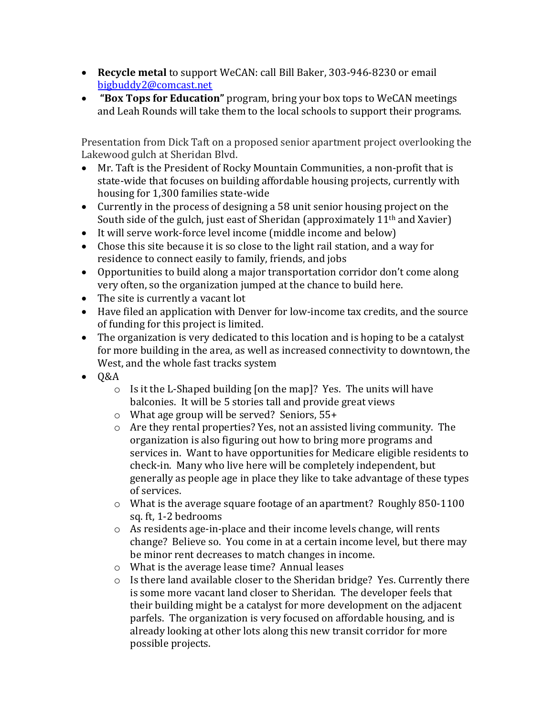- **Recycle metal** to support WeCAN: call Bill Baker, 303-946-8230 or email [bigbuddy2@comcast.net](mailto:bigbuddy2@comcast.net)
- **"Box Tops for Education"** program, bring your box tops to WeCAN meetings and Leah Rounds will take them to the local schools to support their programs.

Presentation from Dick Taft on a proposed senior apartment project overlooking the Lakewood gulch at Sheridan Blvd.

- Mr. Taft is the President of Rocky Mountain Communities, a non-profit that is state-wide that focuses on building affordable housing projects, currently with housing for 1,300 families state-wide
- Currently in the process of designing a 58 unit senior housing project on the South side of the gulch, just east of Sheridan (approximately 11<sup>th</sup> and Xavier)
- It will serve work-force level income (middle income and below)
- Chose this site because it is so close to the light rail station, and a way for residence to connect easily to family, friends, and jobs
- Opportunities to build along a major transportation corridor don't come along very often, so the organization jumped at the chance to build here.
- The site is currently a vacant lot
- Have filed an application with Denver for low-income tax credits, and the source of funding for this project is limited.
- The organization is very dedicated to this location and is hoping to be a catalyst for more building in the area, as well as increased connectivity to downtown, the West, and the whole fast tracks system
- $\bullet$   $0&$ A
	- o Is it the L-Shaped building [on the map]? Yes. The units will have balconies. It will be 5 stories tall and provide great views
	- o What age group will be served? Seniors, 55+
	- o Are they rental properties? Yes, not an assisted living community. The organization is also figuring out how to bring more programs and services in. Want to have opportunities for Medicare eligible residents to check-in. Many who live here will be completely independent, but generally as people age in place they like to take advantage of these types of services.
	- $\circ$  What is the average square footage of an apartment? Roughly 850-1100 sq. ft, 1-2 bedrooms
	- o As residents age-in-place and their income levels change, will rents change? Believe so. You come in at a certain income level, but there may be minor rent decreases to match changes in income.
	- o What is the average lease time? Annual leases
	- o Is there land available closer to the Sheridan bridge? Yes. Currently there is some more vacant land closer to Sheridan. The developer feels that their building might be a catalyst for more development on the adjacent parfels. The organization is very focused on affordable housing, and is already looking at other lots along this new transit corridor for more possible projects.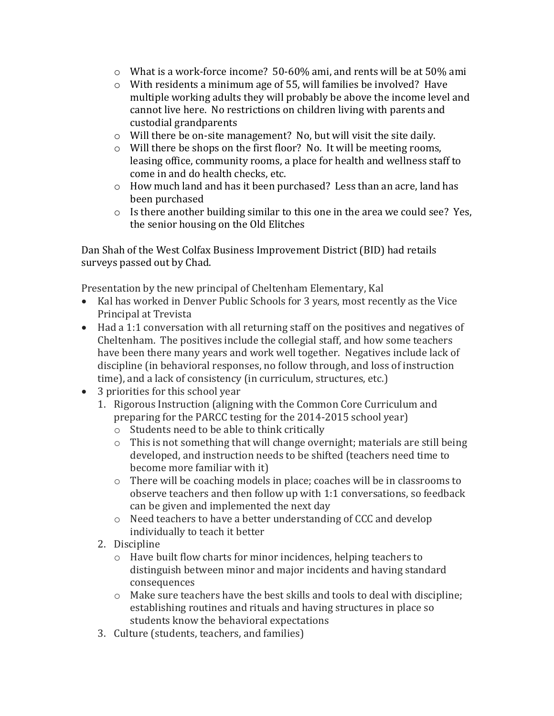- $\circ$  What is a work-force income? 50-60% ami, and rents will be at 50% ami
- o With residents a minimum age of 55, will families be involved? Have multiple working adults they will probably be above the income level and cannot live here. No restrictions on children living with parents and custodial grandparents
- o Will there be on-site management? No, but will visit the site daily.
- o Will there be shops on the first floor? No. It will be meeting rooms, leasing office, community rooms, a place for health and wellness staff to come in and do health checks, etc.
- o How much land and has it been purchased? Less than an acre, land has been purchased
- o Is there another building similar to this one in the area we could see? Yes, the senior housing on the Old Elitches

Dan Shah of the West Colfax Business Improvement District (BID) had retails surveys passed out by Chad.

Presentation by the new principal of Cheltenham Elementary, Kal

- Kal has worked in Denver Public Schools for 3 years, most recently as the Vice Principal at Trevista
- Had a 1:1 conversation with all returning staff on the positives and negatives of Cheltenham. The positives include the collegial staff, and how some teachers have been there many years and work well together. Negatives include lack of discipline (in behavioral responses, no follow through, and loss of instruction time), and a lack of consistency (in curriculum, structures, etc.)
- 3 priorities for this school year
	- 1. Rigorous Instruction (aligning with the Common Core Curriculum and preparing for the PARCC testing for the 2014-2015 school year)
		- o Students need to be able to think critically
		- o This is not something that will change overnight; materials are still being developed, and instruction needs to be shifted (teachers need time to become more familiar with it)
		- o There will be coaching models in place; coaches will be in classrooms to observe teachers and then follow up with 1:1 conversations, so feedback can be given and implemented the next day
		- o Need teachers to have a better understanding of CCC and develop individually to teach it better
	- 2. Discipline
		- o Have built flow charts for minor incidences, helping teachers to distinguish between minor and major incidents and having standard consequences
		- o Make sure teachers have the best skills and tools to deal with discipline; establishing routines and rituals and having structures in place so students know the behavioral expectations
	- 3. Culture (students, teachers, and families)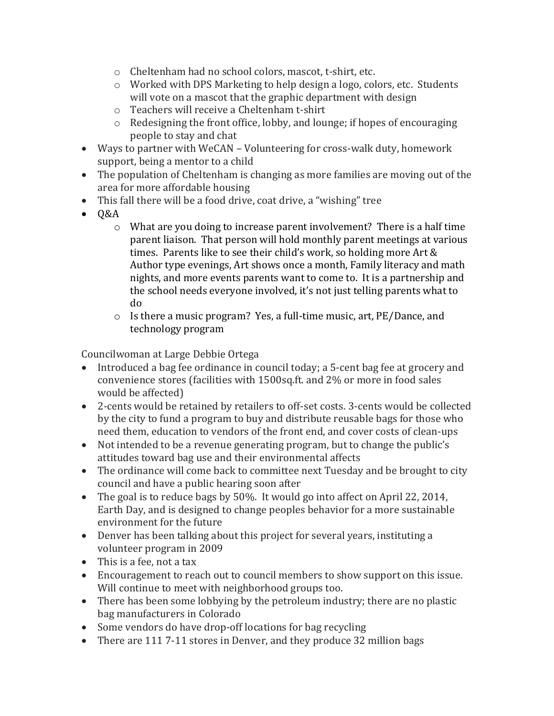- o Cheltenham had no school colors, mascot, t-shirt, etc.
- o Worked with DPS Marketing to help design a logo, colors, etc. Students will vote on a mascot that the graphic department with design
- o Teachers will receive a Cheltenham t-shirt
- o Redesigning the front office, lobby, and lounge; if hopes of encouraging people to stay and chat
- Ways to partner with WeCAN Volunteering for cross-walk duty, homework support, being a mentor to a child
- The population of Cheltenham is changing as more families are moving out of the area for more affordable housing
- This fall there will be a food drive, coat drive, a "wishing" tree
- $-$  Q&A
	- $\circ$  What are you doing to increase parent involvement? There is a half time parent liaison. That person will hold monthly parent meetings at various times. Parents like to see their child's work, so holding more Art & Author type evenings, Art shows once a month, Family literacy and math nights, and more events parents want to come to. It is a partnership and the school needs everyone involved, it's not just telling parents what to do
	- o Is there a music program? Yes, a full-time music, art, PE/Dance, and technology program

Councilwoman at Large Debbie Ortega

- Introduced a bag fee ordinance in council today; a 5-cent bag fee at grocery and convenience stores (facilities with 1500sq.ft. and 2% or more in food sales would be affected)
- 2-cents would be retained by retailers to off-set costs. 3-cents would be collected by the city to fund a program to buy and distribute reusable bags for those who need them, education to vendors of the front end, and cover costs of clean-ups
- Not intended to be a revenue generating program, but to change the public's attitudes toward bag use and their environmental affects
- The ordinance will come back to committee next Tuesday and be brought to city council and have a public hearing soon after
- The goal is to reduce bags by 50%. It would go into affect on April 22, 2014, Earth Day, and is designed to change peoples behavior for a more sustainable environment for the future
- Denver has been talking about this project for several years, instituting a volunteer program in 2009
- This is a fee, not a tax
- Encouragement to reach out to council members to show support on this issue. Will continue to meet with neighborhood groups too.
- There has been some lobbying by the petroleum industry; there are no plastic bag manufacturers in Colorado
- Some vendors do have drop-off locations for bag recycling
- There are 1117-11 stores in Denver, and they produce 32 million bags